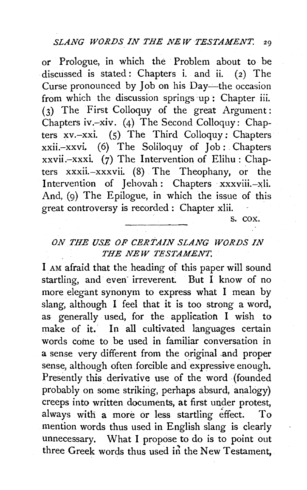or Prologue, in which the Problem about to be discussed is stated: Chapters i. and ii. (2) The Curse pronounced by Job on his Day-the occasion from which the discussion springs up: Chapter iii. (3) The First Colloquy of the great Argument: Chapters iv.-xiv. (4) The Second Colloquy: Chapters xv.-xxi. (S) The Third Colloquy: Chapters xxii.-xxvi. (6) The Soliloquy of Job: Chapters xxvii.-xxxi. (7) The Intervention of Elihu: Chapters xxxii.-xxxvii. (8) The Theophany, or the Intervention of Jehovah: Chapters xxxviii.--xli. And, (9) The Epilogue, in which the issue of this great controversy is recorded : Chapter xlii.

s. cox.

## *ON THE USE OF CERTAIN SLANG WORDS IN THE NEW TESTAMENT.*

I AM afraid that the heading of this paper will sound startling, and even irreverent. But I know of no more elegant synonym to express what I mean by slang, although I feel that it is too strong a word, as generally used, for the application I wish to make of it. In all cultivated languages certain words come to be used in familiar conversation in a sense very different from the original .and proper sense, although often forcible and expressive enough. Presently this derivative use of the word (founded probably on some striking, perhaps absurd, analogy) creeps into written documents, at first under protest, always with a more or less startling effect. To mention words thus used in English slang is clearly unnecessary. What I propose to do is to point out three Greek words thus used in the New Testament,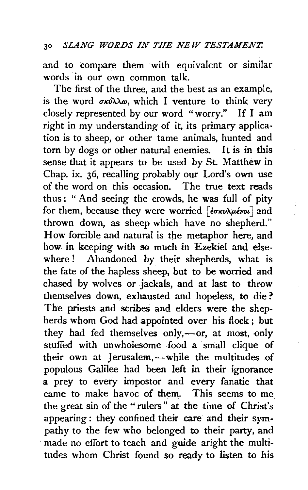and to compare them with equivalent or similar words in our own common talk.

The first of the three, and the best as an example, is the word  $\sigma \kappa \hat{\nu} \lambda \lambda \omega$ , which I venture to think very closely represented by our word "worry." If I am right in my understanding of it, its primary application is to sheep, or other tame animals, hunted and torn by dogs or other natural enemies. It is in this sense that it appears to be used by St. Matthew in Chap. ix. 36, recalling probably our Lord's own use of the word on this occasion. The true text reads thus: "And seeing the crowds, he was full of pity for them, because they were worried  $\lceil \frac{\partial \sigma}{\partial x} \frac{\partial \psi}{\partial y} \frac{\partial \sigma}{\partial x} \frac{\partial \psi}{\partial y} \rceil$  and thrown down, as sheep which have no shepherd." How forcible and natural is the metaphor here, and how in keeping with so much in Ezekiel and elsewhere ! Abandoned by their shepherds, what is the fate of the hapless sheep, but to be worried and chased by wolves or jackals, and at last to throw themselves down, exhausted and hopeless, to die ? The priests and scribes and elders were the shepherds whom God had appointed over his flock ; but they had fed themselves only, $-$ or, at most, only stuffed with unwholesome food a small clique of their own at Jerusalem,-while the multitudes of populous Galilee had been left in their ignorance a prey to every impostor and every fanatic that came to make havoc of them. This seems to me the great sin of the •• rulers" at the time *cif* Christ's appearing : they confined their care and their sympathy to the few who belonged to their party, and made no effort to teach and guide aright the multitudes whom Christ found so ready to listen to his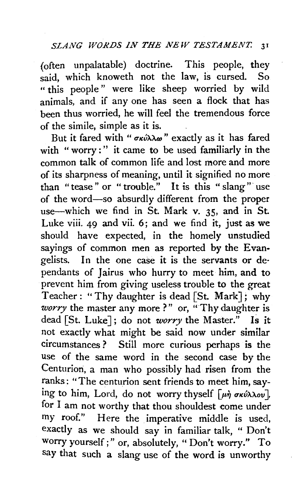(often unpalatable) doctrine. This people, they said, which knoweth not the law, is cursed. So " this people " were like sheep worried by wild animals, and if any one has seen a flock that has been thus worried, he will feel the tremendous force of the simile, simple as it is.

But it fared with " σκύλλω" exactly as it has fared with "worry:" it came to be used familiarly in the common talk of common life and lost more and more of its sharpness of meaning, until it signified no more than "tease" or "trouble." It is this "slang" use of the word-so absurdly different from the proper use-which we find in St. Mark v. 35, and in St. Luke viii. 49 and vii. 6; and we find it, just as we should have expected, in the homely unstudied sayings of common men as reported by the Evangelists. In the one case it is the servants or de· pendants of Jairus who hurry to meet him, and to prevent him from giving useless trouble to the great Teacher : " Thy daughter is dead [St. Mark]; why *worry* the master any more?" or, "Thy daughter is dead [St. Luke]; do not *worry* the Master." Is it not exactly what might be said now under similar circumstances ? Still more curious perhaps is the use of the same word in the second case by the Centurion, a man who possibly had risen from the ranks: "The centurion sent friends to meet him, saying to him, Lord, do not worry thyself  $\lceil \mu \eta \sigma \kappa \omega \lambda \lambda \omega v \rceil$ , for I am not worthy that thou shouldest come under my roof." Here the imperative middle is used, exactly as we should say in familiar talk, " Don't worry yourself;" or, absolutely, "Don't worry." To say that such a slang use of the word is unworthy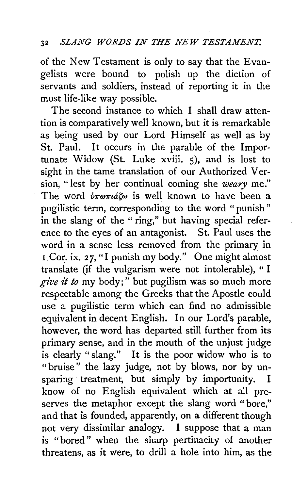of the New Testament is only to say that the Evangelists were bound to polish up the diction of servants and soldiers, instead of reporting it in the most life-like way possible.

The second instance to which I shall draw attention is comparatively well known, but it is remarkable as being used by our Lord Himself as well as by St. Paul. It occurs in the parable of the Importunate Widow (St. Luke xviii. 5), and is lost to sight in the tame translation of our Authorized Version, "lest by her continual coming she *weary* me." The word  $\hat{v}_{\pi\omega\pi i\alpha\zeta\omega}$  is well known to have been a pugilistic term, corresponding to the word " punish" in the slang of the " ring," but having special reference to the eyes of an antagonist. St. Paul uses the word in a sense less removed from the primary in I Cor. ix. 27, "I punish my body." One might almost translate (if the vulgarism were not intolerable), "I *give it to* my body;" but pugilism was so much more respectable among the Greeks that the Apostle could use a pugilistic term which can find no admissible equivalent in decent English. In our Lord's parable, however, the word has departed still further from its primary sense, and in the mouth of the unjust judge is clearly " slang.'' It is the poor widow who is to "bruise" the lazy judge, not by blows, nor by unsparing treatment, but simply by importunity. I know of no English equivalent which at all preserves the metaphor except the slang word "bore," and that is founded, apparently, on a different though not very dissimilar analogy. I suppose that a man is "bored" when the sharp pertinacity of another threatens, as it were, to drill a hole into him, as the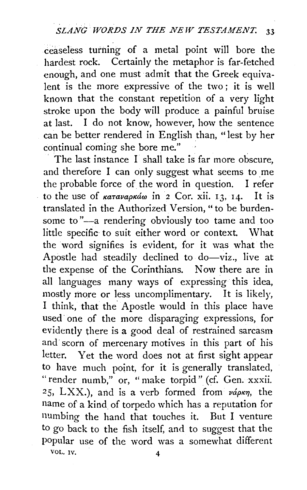ceaseless turning of a metal point will bore the hardest rock. Certainly the metaphor is far-fetched enough, and one must admit that the Greek equivalent is the more expressive of the two ; it is well known that the constant repetition of a very light stroke upon the body will produce a painful bruise at last. I do not know, however, how the sentence can be better rendered in English than, "lest by her continual coming she bore me."

The last instance I shall take is far more obscure, and therefore I can only suggest what seems to me the probable force of the word in question. I refer<br>to the use of *ratavaorán* in 2 Cor. xii. 12. 14. It is to the use of  $\kappa a \tau a \nu a \rho \kappa a \omega$  in 2 Cor. xii. 13, 14. translated in the Authorized Version, "to be burdensome to "-a rendering obviously too tame and too little specific to suit either word or context. What the word signifies is evident, for it was what the Apostle had steadily declined to do-viz., live at the expense of the Corinthians. Now there are in all languages many ways of expressing this idea, mostly more or less uncomplimentary. It is likely, I think, that the Apostle would in this place have used one of the more disparaging expressions, for evidently there is a good deal of restrained sarcasm and scorn of mercenary motives in this part of his letter. Yet the word does not at first sight appear to have much point, for it is generally translated, "render numb," or, "make torpid" (cf. Gen. xxxii. 25, LXX.), and is a verb formed from  $v\acute{a}\rho\kappa\eta$ , the name of a kind of torpedo which has a reputation for numbing the hand that touches it. But I venture to go back to the fish itself, and to suggest that the popular use of the word was a somewhat different VOL. IV. 4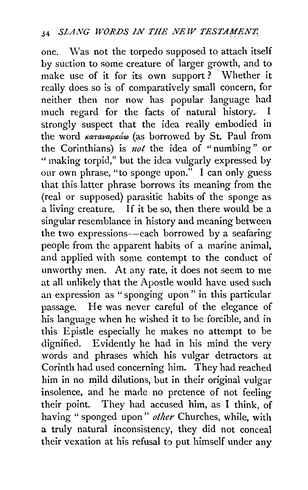one. \Vas not the torpedo supposed to attach itself by suction to some creature of larger growth, and to make use of it for its own support? Whether it really does so is of comparatively small concern, for neither then nor now has popular language had much regard for the facts of natural history.. I strongly suspect that the idea really embodied in the word καταναρκάω (as borrowed by St. Paul from the Corinthians) is *not* the idea of "numbing" or " making torpid,'' but the idea vulgarly expressed by our own phrase, "to sponge upon." I can only guess that this latter phrase borrows its meaning from the (real or supposed) parasitic habits of the sponge as a living creature. If it be so, then there would be a singular resemblance in history and meaning between the two expressions--each borrowed by a seafaring people from the apparent habits of a marine animal, and applied with some contempt to the conduct of unworthy men. At any rate, it does not seem to me at all unlikely that the Apostle would have used such an expression as "sponging upon" in this particular passage. He was never careful of the elegance of his language when he wished it to be forcible, and in this Epistle especially he makes no attempt to be dignified. Evidently he had in his mind the very words and phrases which his vulgar detractors at Corinth had used concerning him. They had reached him in no mild dilutions, but in their original vulgar insolence, and he made no pretence of not feeling their point. They had accused him, as I think, of having " sponged upon" *other* Churches, while, with a truly natural inconsistency, they did not conceal their vexation at his refusal to put himself under any